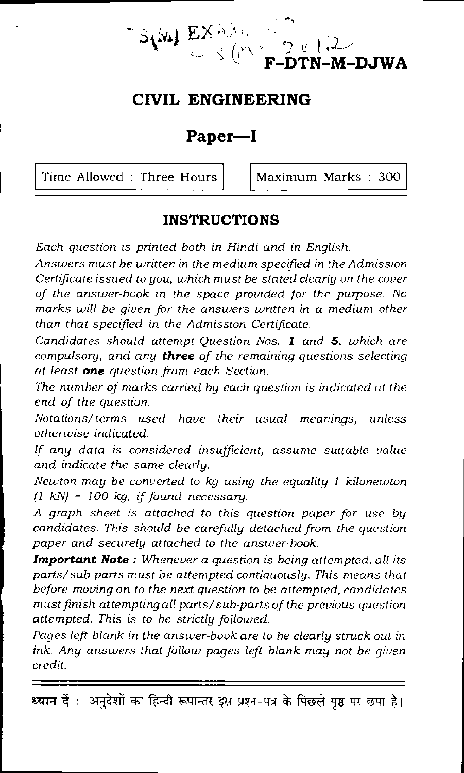$\bf W$ ) EX  $\lambda$  keV  $\geq$   $\frac{1}{2}$  e t **F-DTN-M-DJWA** 

## **CIVIL ENGINEERING**

### **Paper—I**

Time Allowed : Three Hours  $\vert$  Maximum Marks : 300

#### **INSTRUCTIONS**

*Each question is printed both in Hindi and in English.* 

*Answers must be written in the medium specified in the Admission Certificate issued to you, which must be stated clearly on the cover of the answer-book in the space provided for the purpose. No marks will be given for the answers written in a medium other than that specified in the Admission Certificate.* 

*Candidates should attempt Question Nos. I and 5, which are compulsory, and any three of the remaining questions selecting at least one question from each Section.* 

*The number of marks carried by each question is indicated at the end of the question.* 

*Notations/ terms used have their usual meanings, unless otherwise indicated.* 

*If any data is considered insufficient, assume suitable value and indicate the same clearly.* 

*Newton may be converted to kg using the equality 1 kilonewton 11 kN) = 100 kg, if found necessary.* 

*A graph sheet is attached to this question paper for use by candidates. This should be carefully detached from the question paper and securely attached to the answer-book.* 

*Important Note : Whenever a question is being attempted, all its parts/sub-parts must be attempted contiguously. This means that before moving on to the next question to be attempted, candidates must finish attempting all parts/ sub-parts of the previous question attempted. This is to be strictly followed.* 

*Pages left blank in the answer-book are to be clearly struck out in*  ink. Any answers that follow pages left blank may not be given *credit.* 

थ्यान दें : अनुदेशों का हिन्दी रूपान्तर इस प्रश्न-पत्र के पिछले पृष्ठ पर छपा है।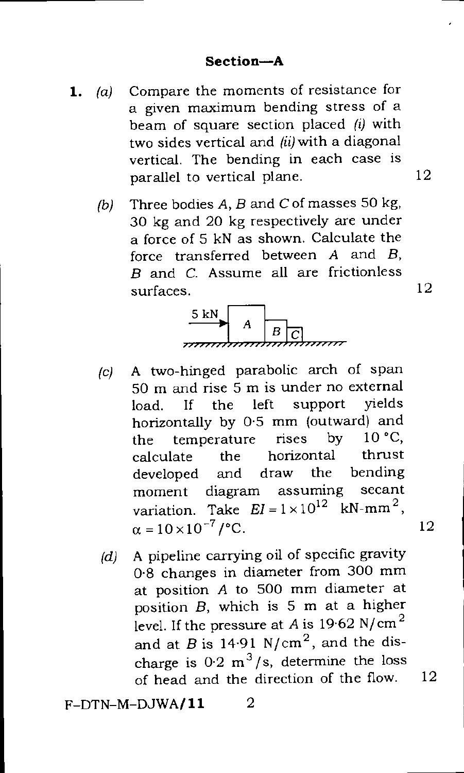- **1.** (a) Compare the moments of resistance for a given maximum bending stress of a beam of square section placed *(1)* with two sides vertical and *(ii)* with a diagonal vertical. The bending in each case is parallel to vertical plane.
	- (b) Three bodies A, *B* and *C* of masses 50 kg, 30 kg and 20 kg respectively are under a force of 5 kN as shown. Calculate the force transferred between A and *B, B* and *C.* Assume all are frictionless surfaces.



- *(c)* A two-hinged parabolic arch of span 50 m and rise 5 m is under no external load If the left support yields horizontally by  $0.5$  mm (outward) and<br>the temperature rises by  $10 °C$ . the temperature rises by  $10 °C$ ,<br>calculate the horizontal thrust calculate the horizontal thrust developed and draw the bending<br>moment diagram assuming secant moment diagram assuming variation. Take  $EI = 1 \times 10^{12}$  kN-mm<sup>2</sup>.  $\alpha = 10 \times 10^{-7}$  / °C. 12
- (d) A pipeline carrying oil of specific gravity 0.8 changes in diameter from 300 mm at position A to 500 mm diameter at position *B,* which is 5 m at a higher level. If the pressure at A is  $19.62$  N/cm<sup>2</sup> and at  $B$  is 14.91 N/cm<sup>2</sup>, and the discharge is  $0.2 \text{ m}^3/\text{s}$ , determine the loss of head and the direction of the flow. 12

F-DTN-M-DJWA/ **11** 2

12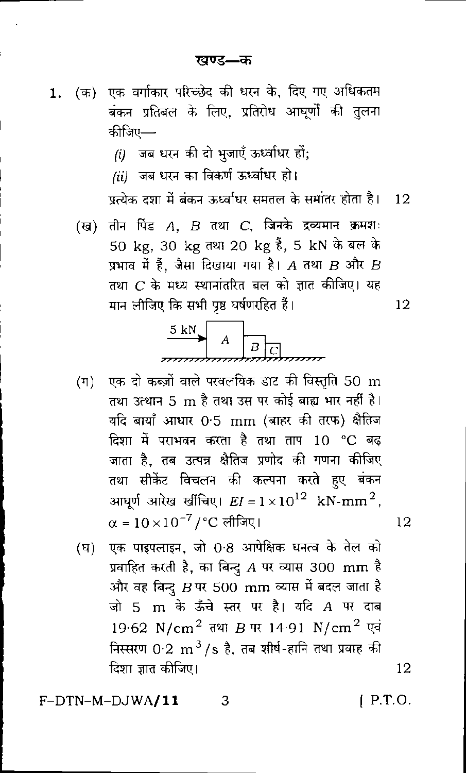- (क) एक वर्गाकार परिच्छेद की धरन के, दिए गए अधिकतम 1. बंकन प्रतिबल के लिए, प्रतिरोध आघूर्णों की तुलना कीजिए—
	- $(i)$  जब धरन की दो भुजाएँ ऊर्ध्वाधर हों;
	- (ii) जब धरन का विकर्ण ऊर्ध्वाधर हो।

प्रत्येक दशा में बंकन ऊर्ध्वाधर समतल के समांतर होता है।  $\overline{12}$ 

(ख) तीन पिंड  $A$ ,  $B$  तथा  $C$ , जिनके द्रव्यमान क्रमशः 50 kg, 30 kg तथा 20 kg हैं, 5 kN के बल के प्रभाव में हैं, जैसा दिखाया गया है। A तथा  $B$  और  $B$ तथा  $C$  के मध्य स्थानांतरित बल को ज्ञात कीजिए। यह मान लीजिए कि सभी पृष्ठ घर्षणरहित हैं।



- एक दो कब्ज़ों वाले परवलयिक डाट की विस्तृति 50  ${\rm m}$  $(\Pi)$ तथा उत्थान 5 m है तथा उस पर कोई बाह्य भार नहीं है। यदि बायाँ आधार 0<sup>.</sup>5 mm (बाहर की तरफ) क्षैतिज दिशा में पराभवन करता है तथा ताप 10 °C बढ जाता है, तब उत्पन्न क्षैतिज प्रणोद की गणना कीजिए तथा सीकेंट विचलन की कल्पना करते हए बंकन आघर्ण आरेख खींचिए।  $EI = 1 \times 10^{12}$  kN-mm<sup>2</sup>,  $\alpha = 10 \times 10^{-7}$  / °C लीजिए।
- एक पाइपलाइन, जो 0.8 आपेक्षिक घनत्व के तेल को (घ) प्रवाहित करती है, का बिन्दु  $A$  पर व्यास 300  $\,\mathrm{mm}$  है और वह बिन्दु  $B$  पर 500  $\,\mathrm{mm}$  व्यास में बदल जाता है जो 5 m के ऊँचे स्तर पर है। यदि A पर दाब 19.62 N/cm<sup>2</sup> तथा B पर 14.91 N/cm<sup>2</sup> एवं निस्सरण  $0.2~{\rm m}^3/{\rm s}$  है, तब शीर्ष-हानि तथा प्रवाह की दिशा ज्ञात कीजिए।

3

F-DTN-M-DJWA/11

 $[$  P.T.O.

12

12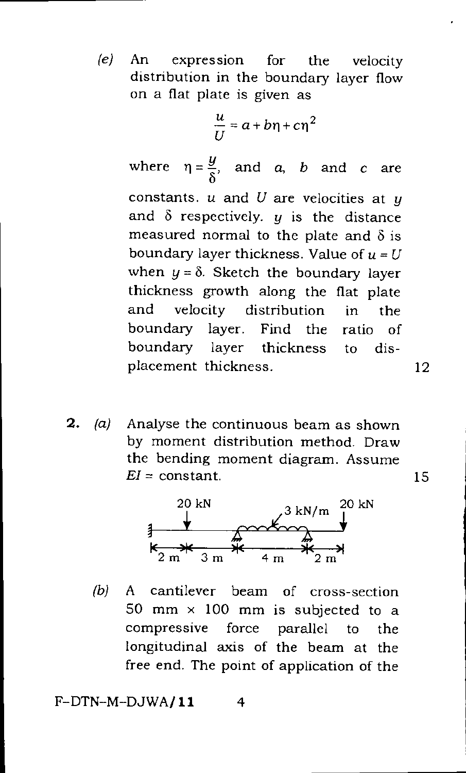*(e)* An expression for the velocity distribution in the boundary layer flow on a flat plate is given as

$$
\frac{u}{U} = a + b\eta + c\eta^2
$$

where  $\eta = \frac{y}{\delta}$ , and *a*, *b* and *c* are constants. u and *U* are velocities at y and  $\delta$  respectively.  $y$  is the distance measured normal to the plate and  $\delta$  is boundary layer thickness. Value of  $u = U$ when  $y = \delta$ . Sketch the boundary layer thickness growth along the flat plate and velocity distribution in the boundary layer. Find the ratio of boundary layer thickness to displacement thickness. 12

**2.** (a) Analyse the continuous beam as shown by moment distribution method. Draw the bending moment diagram. Assume  $EI = constant.$  15



*(b)* A cantilever beam of cross-section 50 mm  $\times$  100 mm is subjected to a compressive force parallel to the longitudinal axis of the beam at the free end. The point of application of the

 $F-DTN-M-DJWA/11$  4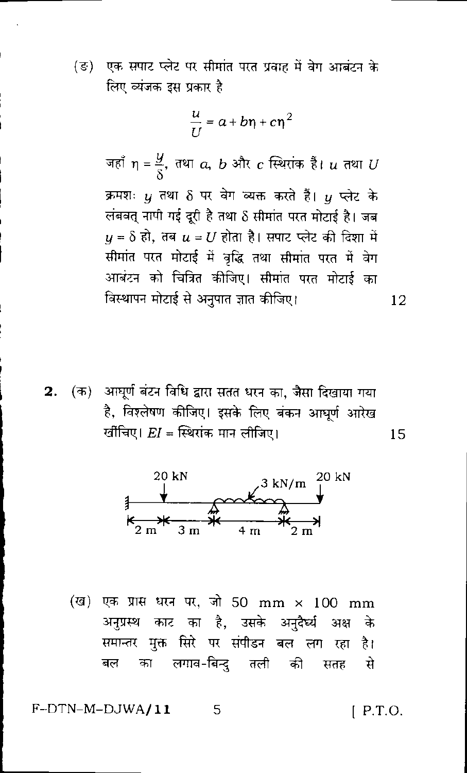(ङ) एक सपाट प्लेट पर सीमांत परत प्रवाह में वेग आबंटन के लिए व्यंजक इस प्रकार है

$$
\frac{u}{U} = a + b\eta + c\eta^2
$$

जहाँ  $\eta = \frac{y}{8}$ , तथा  $a, b$  और  $c$  स्थिरांक हैं।  $u$  तथा  $U$ क्रमशः *u* तथा δ पर वेग व्यक्त करते हैं। *u* प्लेट के लंबवत् नापी गई दूरी है तथा 8 सीमांत परत मोटाई है। जब  $y = \delta$  हो, तब  $u = U$  होता है। सपाट प्लेट की दिशा में सीमांत परत मोटाई में वृद्धि तथा सीमांत परत में वेग आबंटन को चित्रित कीजिए। सीमांत परत मोटाई का विस्थापन मोटाई से अनुपात ज्ञात कीजिए। 12

2. (क) आघूर्ण बंटन विधि द्वारा सतत धरन का, जैसा दिखाया गया है, विश्लेषण कीजिए। इसके लिए बंकन आधूर्ण आरेख र्खीचिए।  $EI =$  स्थिरांक मान लीजिए। 15



(ख) एक प्रास धरन पर, जो 50 mm × 100 mm अनुप्रस्थ काट का है, उसके अनुदैर्घ्य अक्ष के समान्तर मुक्त सिरे पर संपीडन बल लग रहा है। का लगाव-बिन्दु तली की सतह बल से

F-DTN-M-DJWA/11

 $[$  P.T.O.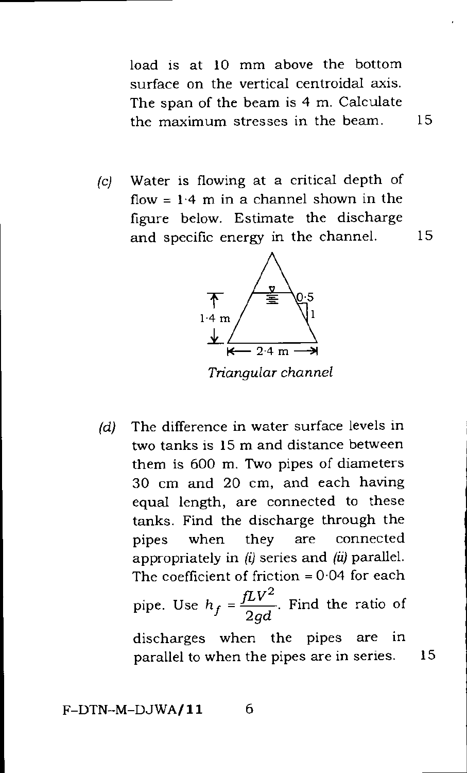load is at 10 mm above the bottom surface on the vertical centroidal axis. The span of the beam is 4 m. Calculate the maximum stresses in the beam. 15

*(c)* Water is flowing at a critical depth of flow =  $1.4$  m in a channel shown in the figure below. Estimate the discharge and specific energy in the channel. 15



*Triangular channel* 

*(d)* The difference in water surface levels in two tanks is 15 m and distance between them is 600 m. Two pipes of diameters 30 cm and 20 cm, and each having equal length, are connected to these tanks. Find the discharge through the pipes when they are connected appropriately in *(i)* series and *(ii)* parallel. The coefficient of friction  $= 0.04$  for each pipe. Use  $h_f = \frac{fLV^2}{2gd}$ . Find the ratio of discharges when the pipes are in parallel to when the pipes are in series. 15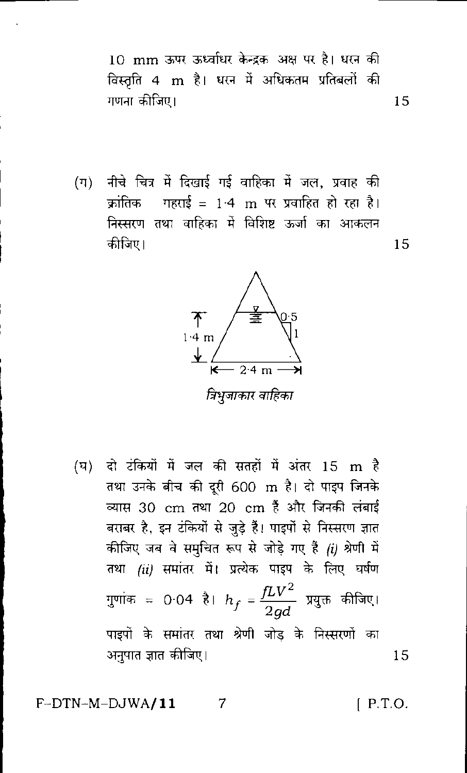10 mm ऊपर ऊर्ध्वाधर केन्द्रक अक्ष पर है। धरन की विस्तृति 4 m है। धरन में अधिकतम प्रतिबलों की गणना कीजिए। 15

(ग) नीचे चित्र में दिखाई गई वाहिका में जल, प्रवाह की कांतिक गहराई = 1·4 m पर प्रवाहित हो रहा है। निस्सरण तथा वाहिका में विशिष्ट ऊर्जा का आकलन कीजिए।



(घ) दो टंकियों में जल की सतहों में अंतर 15 m है तथा उनके बीच की दरी 600 m है। दो पाइप जिनके व्यास 30 cm तथा 20 cm हैं और जिनकी लंबाई बराबर है, इन टंकियों से जुड़े हैं। पाइपों से निस्सरण ज्ञात कीजिए जब वे समुचित रूप से जोड़े गए हैं *(i)* श्रेणी में तथा *(ii)* समांतर में। प्रत्येक पाइप के लिए घर्षण गुणांक = 0·04 है।  $h_f = \frac{fLV^2}{2ad}$  प्रयुक्त कीजिए। पाइपों के समांतर तथा श्रेणी जोड़ के निस्सरणों का अनुपात ज्ञात कीजिए।

 $F-DTN-M-DJWA/11$ 

 $[$  P.T.O.

15

15

 $\overline{7}$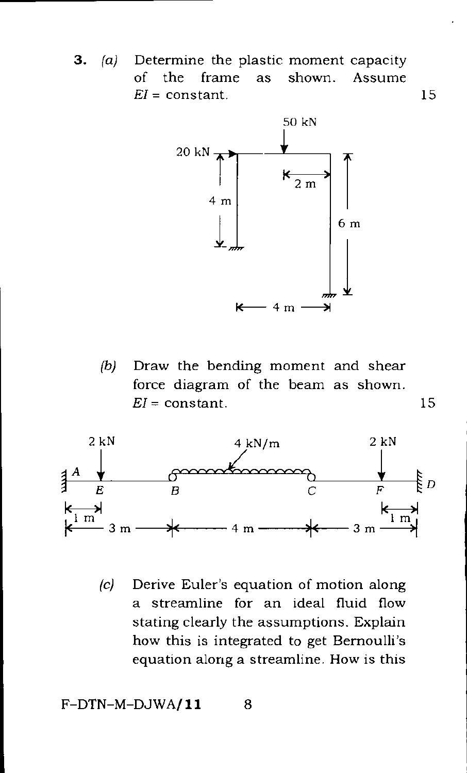**3.** (a) Determine the plastic moment capacity of the frame as shown. Assume  $EI = constant.$  15



(b) Draw the bending moment and shear force diagram of the beam as shown. *El =* constant. 15



(c) Derive Euler's equation of motion along a streamline for an ideal fluid flow stating clearly the assumptions. Explain how this is integrated to get Bernoulli's equation along a streamline. How is this

 $F-DTN-M-DJWA/11$  8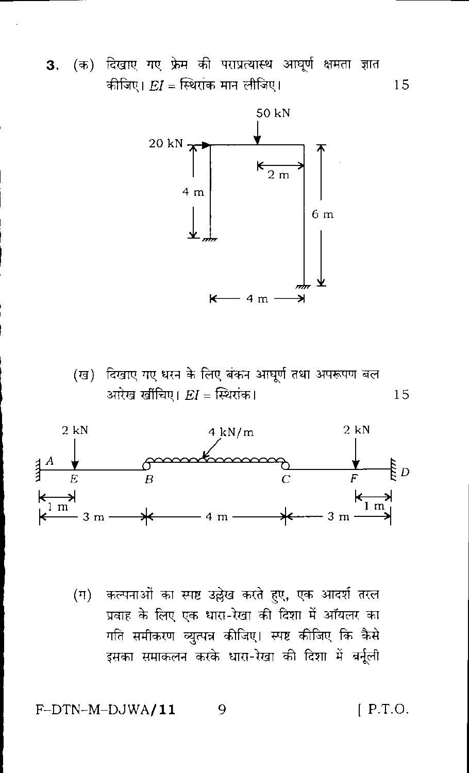3. (क) दिखाए गए फ्रेम की पराप्रत्यास्थ आघूर्ण क्षमता ज्ञात कीजिए।  $EI = \widehat{k}$ थरांक मान लीजिए। 15



(ख) दिखाए गए धरन के लिए बंकन आघूर्ण तथा अपरूपण बल आरेख खींचिए।  $EI =$  स्थिरांक। 15



(ग) कल्पनाओं का स्पष्ट उल्लेख करते हुए, एक आदर्श तरल प्रवाह के लिए एक धारा-रेखा की दिशा में ऑयलर का गति समीकरण व्युत्पन्न कीजिए। स्पष्ट कीजिए कि कैसे इसका समाकलन करके धारा-रेखा की दिशा में बर्नूली

#### F-DTN-M-DJWA/11

 $[$  P.T.O.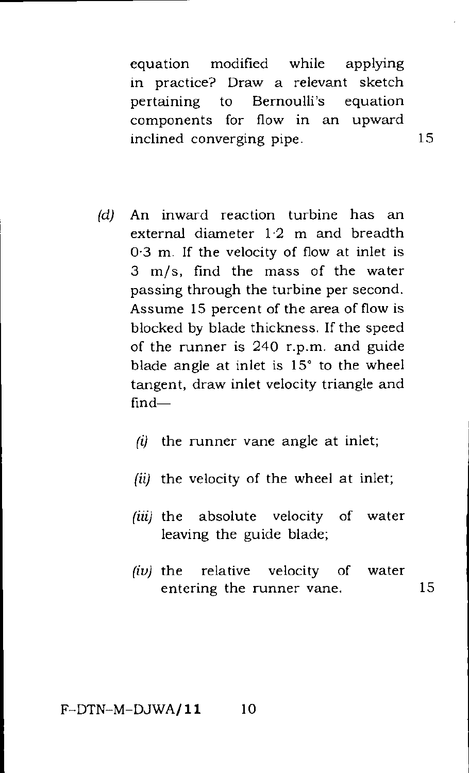equation modified while applying in practice? Draw a relevant sketch pertaining to Bernoulli's equation components for flow in an upward inclined converging pipe. 15

- *(d)* An inward reaction turbine has an external diameter 12 m and breadth 0.3 m. If the velocity of flow at inlet is 3 m/s, find the mass of the water passing through the turbine per second. Assume 15 percent of the area of flow is blocked by blade thickness. If the speed of the runner is 240 r.p.m. and guide blade angle at inlet is 15° to the wheel tangent, draw inlet velocity triangle and find-
	- $(i)$  the runner vane angle at inlet;
	- $(ii)$  the velocity of the wheel at inlet;
	- (iii) the absolute velocity of water leaving the guide blade;
	- *(iu)* the relative velocity of water entering the runner vane. 15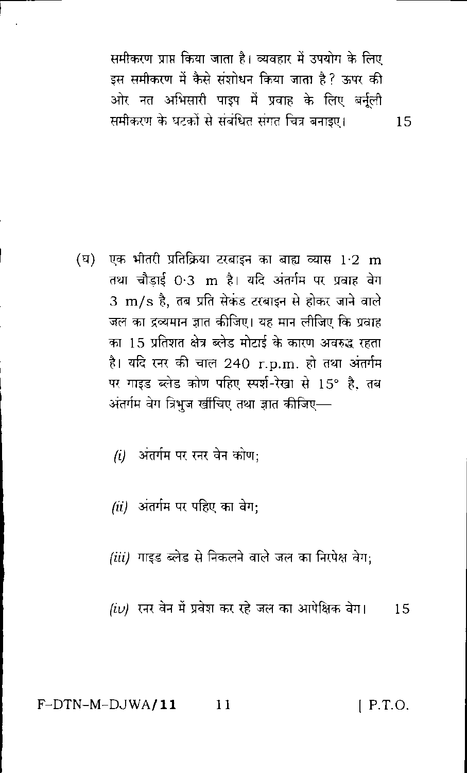समीकरण प्राप्त किया जाता है। व्यवहार में उपयोग के लिए इस समीकरण में कैसे संशोधन किया जाता है? ऊपर की ओर नत अभिसारी पाइप में प्रवाह के लिए बर्नुली समीकरण के घटकों से संबंधित संगत चित्र बनाइए।

15

- (घ) एक भीतरी प्रतिक्रिया टरबाइन का बाह्य व्यास 1·2 m तथा चौडाई 0.3 m है। यदि अंतर्गम पर प्रवाह वेग 3 m/s है, तब प्रति सेकंड टरबाइन से होकर जाने वाले जल का द्रव्यमान ज्ञात कीजिए। यह मान लीजिए कि प्रवाह का 15 प्रतिशत क्षेत्र ब्लेड मोटाई के कारण अवरुद्ध रहता है। यदि स्नर की चाल 240 r.p.m. हो तथा अंतर्गम पर गाइड ब्लेड कोण पहिए स्पर्श-रेखा से 15° है. तब अंतर्गम वेग त्रिभुज खींचिए तथा ज्ञात कीजिए—
	- (i) अंतर्गम पर रनर वेन कोण:
	- (ii) अंतर्गम पर पहिए का वेग:
	- *(iii)* गाइड ब्लेड से निकलने वाले जल का निरपेक्ष वेग;

 $f(\nu)$  रनर वेन में प्रवेश कर रहे जल का आपेक्षिक वेग। - 15

 $F-DTN-M-DJWA/11$  11  $[$  P.T.O.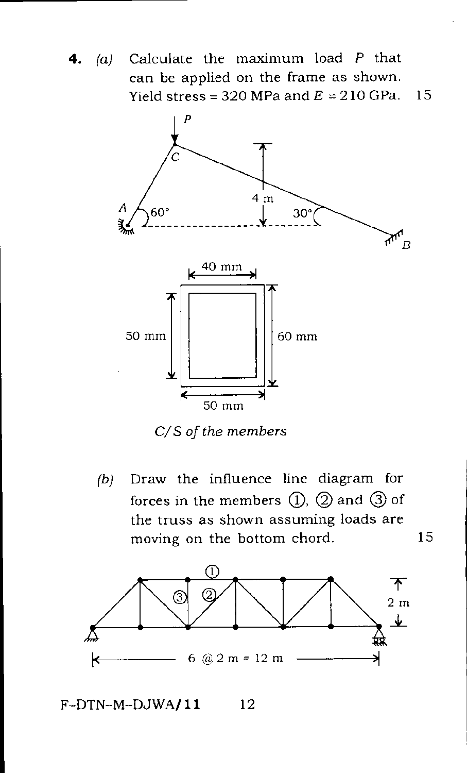**4.** (a) Calculate the maximum load *P* that can be applied on the frame as shown. Yield stress =  $320$  MPa and  $E = 210$  GPa. 15



*C/S of the members* 

*(b)* Draw the influence line diagram for forces in the members  $(1)$ ,  $(2)$  and  $(3)$  of the truss as shown assuming loads are moving on the bottom chord. 15



 $F-DTN-M-DJWA/11$  12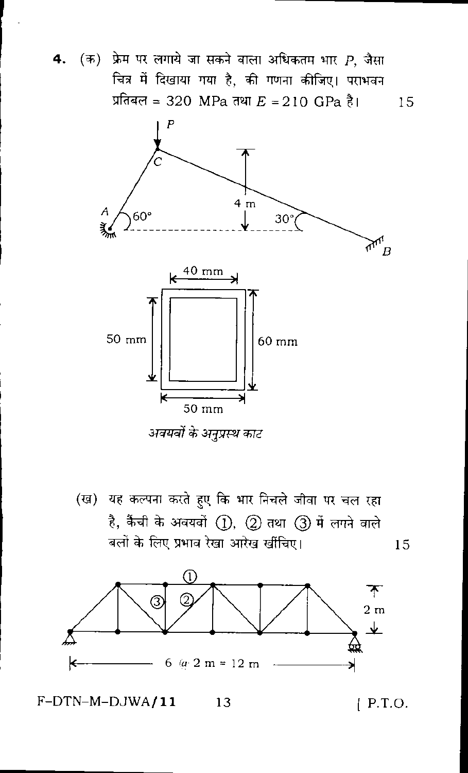$4.$ 

(क) फ्रेम पर लगाये जा सकने वाला अधिकतम भार  $\boldsymbol{P}$ , जैसा चित्र में दिखाया गया है, की गणना कीजिए। पराभवन प्रतिबल = 320 MPa तथा  $E = 210$  GPa है। 15



अवयवों के अनुप्रस्थ काट

(ख) यह कल्पना करते हुए कि भार निचले जीवा पर चल रहा है, कैंची के अवयवों (1), (2) तथा (3) में लगने वाले बलों के लिए प्रभाव रेखा आरेख खींचिए। 15



F-DTN-M-DJWA/11 13  $[$  P.T.O.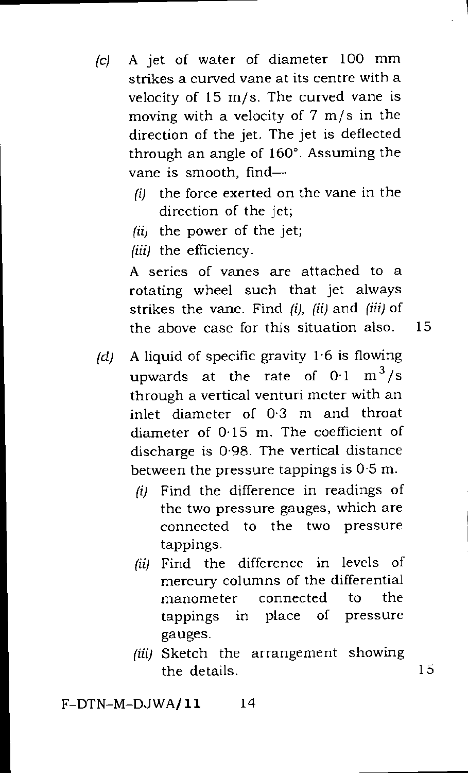- *(c)* A jet of water of diameter 100 mm strikes a curved vane at its centre with a velocity of 15 m/s. The curved vane is moving with a velocity of  $7 \text{ m/s}$  in the direction of the jet. The jet is deflected through an angle of 160°. Assuming the vane is smooth, find—
	- *(1)* the force exerted on the vane in the direction of the jet;
	- (ii) the power of the jet;
	- (iii) the efficiency.

A series of vanes are attached to a rotating wheel such that jet always strikes the vane. Find *(i), (ii)* and *(iii)* of the above case for this situation also. 15

- *(d)* A liquid of specific gravity 1.6 is flowing upwards at the rate of  $0.1 \text{ m}^3/\text{s}$ through a vertical venturi meter with an inlet diameter of 0.3 m and throat diameter of 0.15 m. The coefficient of discharge is 0.98. The vertical distance between the pressure tappings is 0.5 m.
	- (i) Find the difference in readings of the two pressure gauges, which are connected to the two pressure tappings.
	- (ii) Find the difference in levels of mercury columns of the differential manometer connected to the tappings in place of pressure gauges.
	- (iii) Sketch the arrangement showing the details. 15

 $F-DTN-M-DJWA/11$  14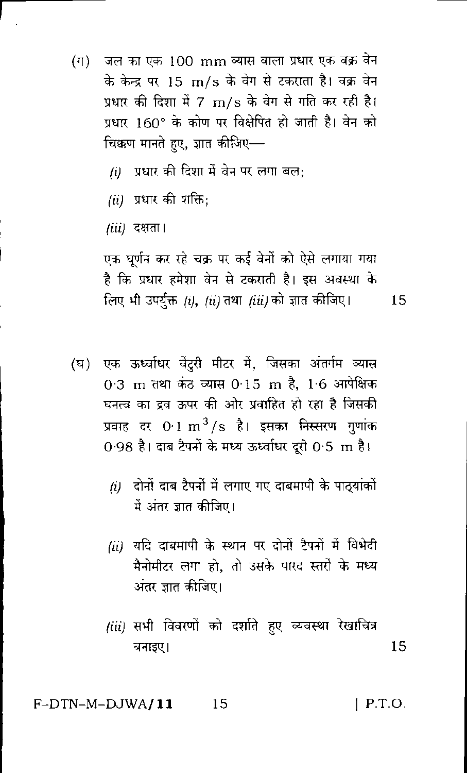- $(\Pi)$ जल का एक 100 mm व्यास वाला प्रधार एक वक्र वेन के केन्द्र पर 15 m/s के वेग से टकराता है। वक्र वेन प्रधार की दिशा में 7 m/s के वेग से गति कर रही है। प्रधार 160° के कोण पर विक्षेपित हो जाती है। वेन को चिक्कण मानते हुए, ज्ञात कीजिए-
	- (i) प्रधार की दिशा में बेन पर लगा बल:
	- $(ii)$  प्रधार की शक्ति:

*(iii)* दक्षता।

एक घूर्णन कर रहे चक्र पर कई वेनों को ऐसे लगाया गया है कि प्रधार हमेशा वेन से टकराती है। इस अवस्था के लिए भी उपर्युक्त (i), (ii) तथा (iii) को ज्ञात कीजिए।

15

- (घ) एक ऊर्ध्वाधर वेंदुरी मीटर में, जिसका अंतर्गम व्यास 0.3 m तथा कंठ व्यास 0.15 m है, 1.6 आपेक्षिक घनत्व का द्रव ऊपर की ओर प्रवाहित हो रहा है जिसकी प्रवाह दर  $0.1 \text{ m}^3/\text{s}$  है। इसका निस्सरण गुणांक 0.98 है। दाब टैपनों के मध्य ऊर्ध्वाधर दुरी 0.5 m है।
	- $(i)$  दोनों दाब टैपनों में लगाए गए दाबमापी के पाठ्यांकों में अंतर ज्ञात कीजिए।
	- (ii) यदि दाबमापी के स्थान पर दोनों टैपनों में विभेदी मैनोमीटर लगा हो, तो उसके पारद स्तरों के मध्य अंतर जात कीजिए।
	- (iii) सभी विवरणों को दर्शाते हुए व्यवस्था रेखाचित्र 15 बनाइए।

F-DTN-M-DJWA**/11** 15  $1$  P.T.O.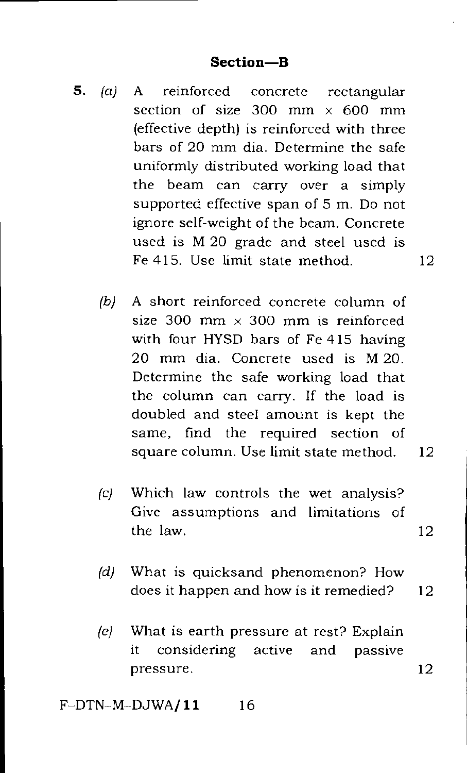- **5.** *(a)* A reinforced concrete rectangular section of size 300 mm  $\times$  600 mm (effective depth) is reinforced with three bars of 20 mm dia. Determine the safe uniformly distributed working load that the beam can carry over a simply supported effective span of 5 m. Do not ignore self-weight of the beam. Concrete used is M 20 grade and steel used is Fe 415. Use limit state method. 12
	- (b) A short reinforced concrete column of size 300 mm  $\times$  300 mm is reinforced with four HYSD bars of Fe 415 having 20 mm dia. Concrete used is M 20. Determine the safe working load that the column can carry. If the load is doubled and steel amount is kept the same, find the required section of square column. Use limit state method. 12
	- (c) Which law controls the wet analysis? Give assumptions and limitations of the law. 12
	- (d) What is quicksand phenomenon? How does it happen and how is it remedied? 12
	- (e) What is earth pressure at rest? Explain it considering active and passive pressure. 12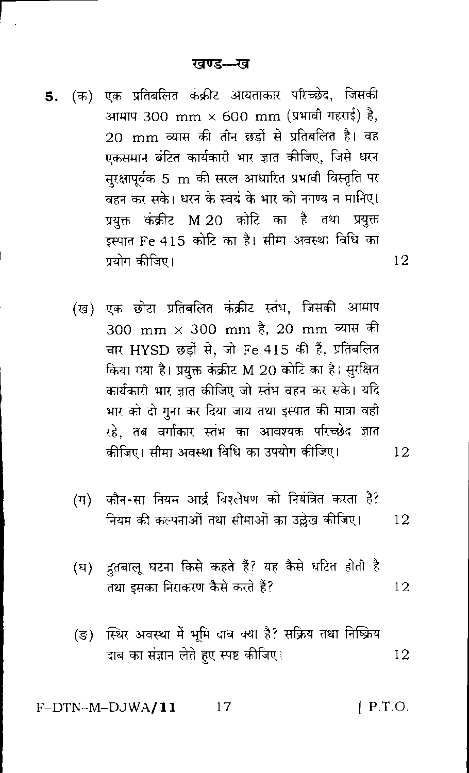- 5. (क) एक प्रतिबलित कक्रीट आयताकार परिच्छेद, जिसकी आमाप 300 mm  $\times$  600 mm (प्रभावी गहराई) है, 20 mm व्यास की तीन छड़ों से प्रतिबलित है। वह एकसमान बंटित कार्यकारी भार ज्ञात कीजिए, जिसे धरन सुरक्षापूर्वक 5 m की सरल आधारित प्रभावी विस्तृति पर वहन कर सके। धरन के स्वयं के भार को नगण्य न मानिए। प्रयुक्त कंक्रीट M 20 कोटि का है तथा प्रयुक्त इस्पात Fe 415 कोटि का है। सीमा अवस्था विधि का प्रयोग कीजिए।
	- (ख) एक छोटा प्रतिबलित कंक्रीट स्तंभ, जिसकी आमाप 300 mm × 300 mm है. 20 mm व्यास की चार HYSD छड़ों से. जो Fe 415 की हैं. प्रतिबलित किया गया है। प्रयुक्त कंक्रीट M 20 कोटि का है। सुरक्षित कार्यकारी भार ज्ञात कीजिए जो स्तंभ वहन कर सके। यदि भार को दो गुना कर दिया जाय तथा इस्पात की मात्रा वही रहे. तब वर्गाकार स्तंभ का आवश्यक परिच्छेद ज्ञात कीजिए। सीमा अवस्था विधि का उपयोग कीजिए।
- 12

12

- (ग) कौन-सा नियम आर्द्र विश्लेषण को नियंत्रित करता है? नियम की कल्पनाओं तथा सीमाओं का उल्लेख कीजिए। 12
- ्द्रतबालू घटना किसे कहते हैं? यह कैसे घटित होती है  $(\overline{u})$ तथा इसका निराकरण कैसे करते हैं? 12
- (ङ) स्थिर अवस्था में भूमि दाब क्या है? सक्रिय तथा निष्क्रिय दाब का संज्ञान लेते हुए स्पष्ट कीजिए। 12

 $[$  P.T.O. F-DTN-M-DJWA/11  $17$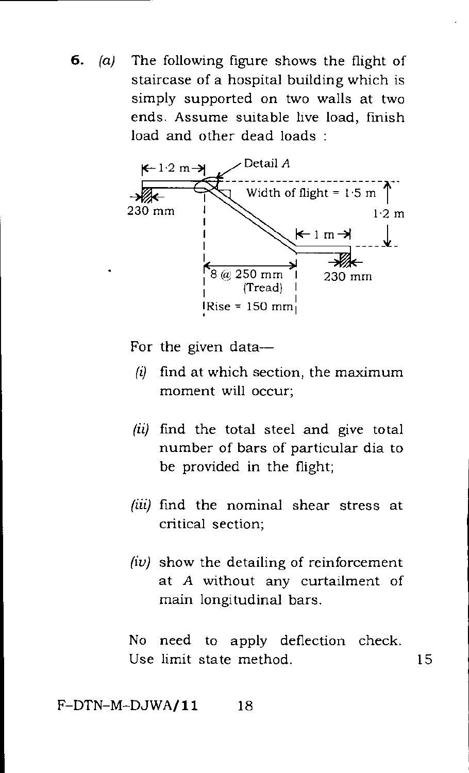**6.** (a) The following figure shows the flight of staircase of a hospital building which is simply supported on two walls at two ends. Assume suitable live load, finish load and other dead loads :



For the given data—

- *(1)* find at which section, the maximum moment will occur;
- (ii) find the total steel and give total number of bars of particular dia to be provided in the flight;
- (iii) find the nominal shear stress at critical section;
- $(iv)$  show the detailing of reinforcement at A without any curtailment of main longitudinal bars.

No need to apply deflection check. Use limit state method. 15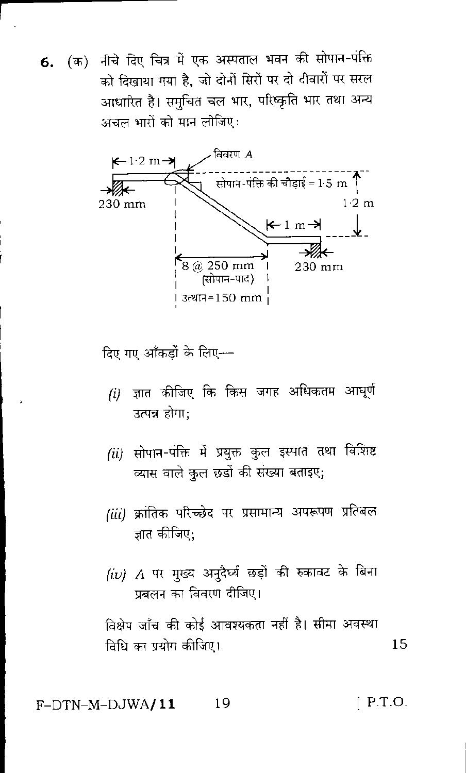6. (क) नीचे दिए चित्र में एक अस्पताल भवन की सोपान-पंक्ति को दिखाया गया है, जो दोनों सिरों पर दो दीवारों पर सरल आधारित है। समुचित चल भार, परिष्कृति भार तथा अन्य अचल भारों को मान लीजिए:



दिए गए आँकड़ों के लिए---

- $(i)$  ज्ञात कीजिए कि किस जगह अधिकतम आधूर्ण उत्पन्न होगा:
- (ii) सोपान-पंक्ति में प्रयुक्त कुल इस्पात तथा विशिष्ट व्यास वाले कुल छड़ों की संख्या बताइए.
- (iii) क्रांतिक परिच्छेद पर प्रसामान्य अपरूपण प्रतिबल ज्ञात कीजिए:
- (iv) A पर मुख्य अनुदैर्घ्य छड़ों की रुकावट के बिना प्रबलन का विवरण दीजिए।

विक्षेप जाँच की कोई आवश्यकता नहीं है। सीमा अवस्था विधि का प्रयोग कीजिए। 15

 $[$  P.T.O. F-DTN-M-DJWA**/11** 19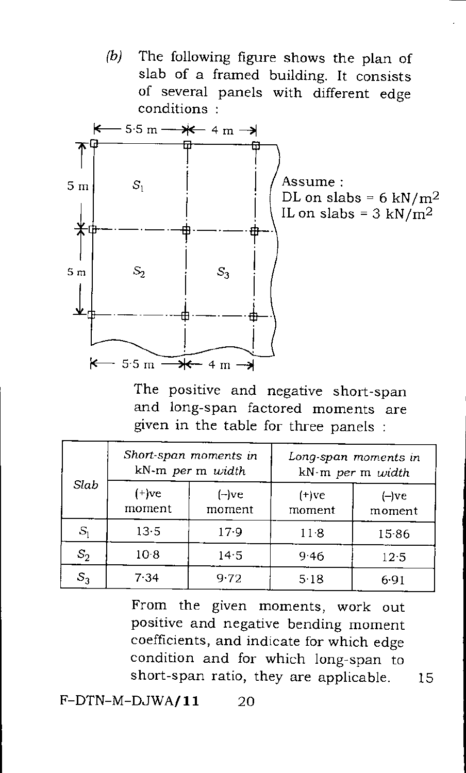*(b)* The following figure shows the plan of slab of a framed building. It consists of several panels with different edge conditions :



The positive and negative short-span and long-span factored moments are given in the table for three panels :

| Slab            | Short-span moments in<br>kN-m per m width |                    | Long-span moments in<br>kN-m per m width |                   |
|-----------------|-------------------------------------------|--------------------|------------------------------------------|-------------------|
|                 | $(+)$ ve<br>moment                        | $(-)$ ve<br>moment | $(+)$ ve<br>moment                       | $(-)ve$<br>moment |
| $S_{1}$         | $13-5$                                    | 17.9               | 118                                      | 1586              |
| $S_2$           | 10 8                                      | 14.5               | 9.46                                     | 12.5              |
| $\mathcal{S}_3$ | 7.34                                      | 9.72               | 5.18                                     | 6.91              |

From the given moments, work out positive and negative bending moment coefficients, and indicate for which edge condition and for which long-span to short-span ratio, they are applicable. 15

 $F-DTN-M-DJWA/11$  20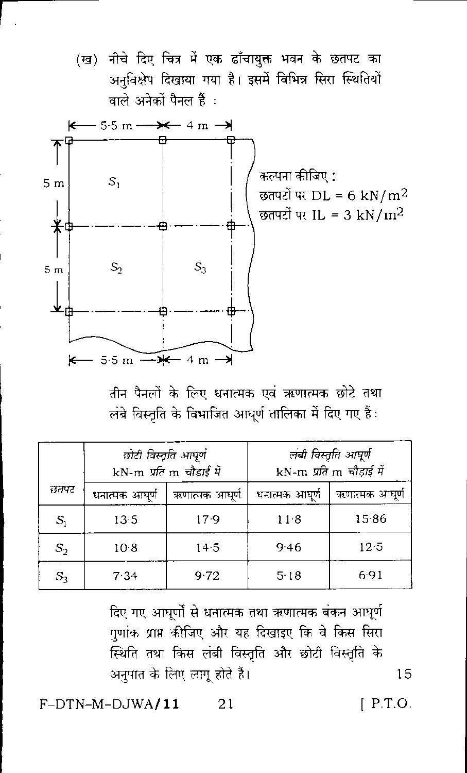



तीन पैनलों के लिए धनात्मक एवं ऋणात्मक छोटे तथा लंबे विस्तृति के विभाजित आघूर्ण तालिका में दिए गए हैं:

|       | छोटी विस्तृति आधूर्ण<br>kN-m प्रति m चौड़ाई में |                | लंबी विस्तृति आघूर्ण<br>kN-m प्रति m चौड़ाई में |                |
|-------|-------------------------------------------------|----------------|-------------------------------------------------|----------------|
| छतफ्ट | धनात्मक आघूर्ण                                  | ऋणात्मक आघूर्ण | धनात्मक आघुणे                                   | ऋणात्मक आघूर्ण |
| $S_1$ | 13.5                                            | 17.9           | $11-8$                                          | 1586           |
| $S_2$ | 10.8                                            | 14.5           | 9.46                                            | $12-5$         |
| $S_3$ | 7.34                                            | 9.72           | 5.18                                            | 6.91           |

दिए गए आधुर्णों से धनात्मक तथा ऋणात्मक बंकन आधुर्ण गुणांक प्राप्त कीजिए और यह दिखाइए कि वे किस सिरा स्थिति तथा किस लंबी विस्तृति और छोटी विस्तृति के अनुपात के लिए लागू होते हैं।

 $F-DTN-M-DJWA/11$ 21  $[$  P.T.O.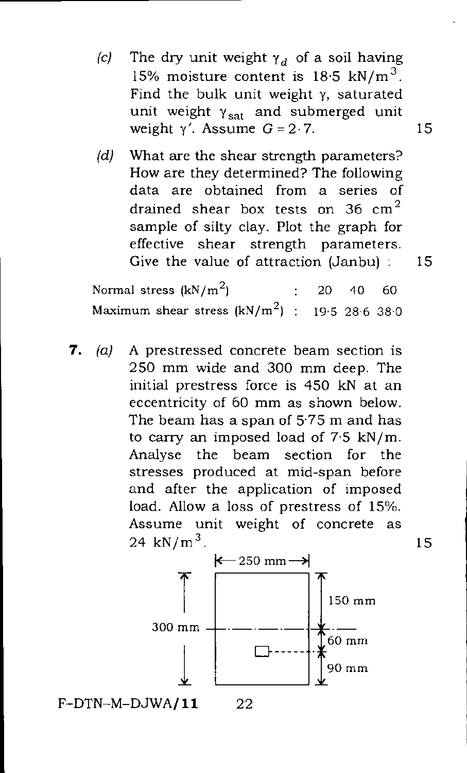- (c) The dry unit weight  $\gamma_d$  of a soil having 15% moisture content is  $18.5 \text{ kN/m}^3$ . Find the bulk unit weight y, saturated unit weight  $\gamma_{\text{sat}}$  and submerged unit weight  $\gamma'$ . Assume  $G = 2.7$ . 15
- (d) What are the shear strength parameters? How are they determined? The following data are obtained from a series of drained shear box tests on 36  $cm<sup>2</sup>$ sample of silty clay. Plot the graph for effective shear strength parameters. Give the value of attraction (Janbu) : 15

Normal stress  $(kN/m^2)$  : 20 40 60 Maximum shear stress  $(kN/m^2)$  : 19.5 28.6 38.0

7.  $(a)$  A prestressed concrete beam section is 250 mm wide and 300 mm deep. The initial prestress force is 450 kN at an eccentricity of 60 mm as shown below. The beam has a span of 5.75 m and has to carry an imposed load of 7.5 kN/m. Analyse the beam section for the stresses produced at mid-span before and after the application of imposed load. Allow a loss of prestress of 15%. Assume unit weight of concrete as  $24 \text{ kN/m}^3$ . 15



 $F-DTN-M-DJWA/11$  22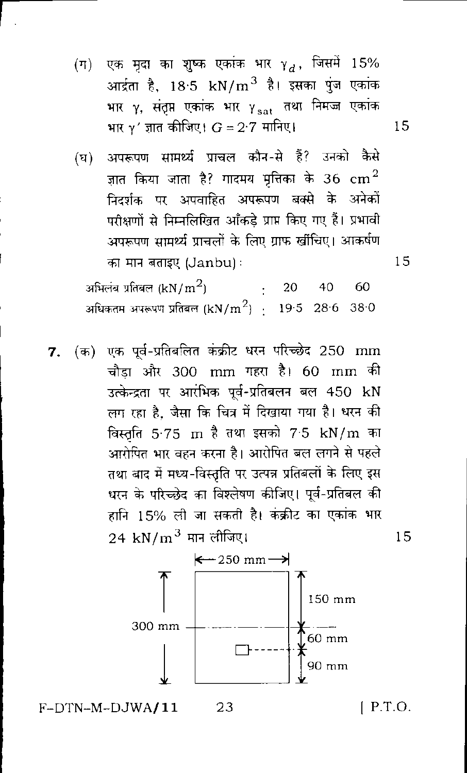- (ग) एक मृदा का शुष्क एकांक भार  $\gamma_d$ , जिसमें 15% आर्द्रता है, 18<sup>.</sup>5 kN/m<sup>3</sup> है। इसका पुंज एकांक भार γ, संतृप्त एकांक भार γ<sub>sat</sub> तथा निमज्ज एकांक भार  $\gamma'$  ज्ञात कीजिए।  $G = 2 \cdot 7$  मानिए।
- (घ) अपरूपण सामर्थ्य प्राचल कौन-से हैं? उनको कैसे ज्ञात किया जाता है? गादमय मृत्तिका के 36  ${\rm cm}^2$ निदर्शक पर अपवाहित अपरूपण बक्से के अनेकों परीक्षणों से निम्नलिखित आँकड़े प्राप्त किए गए हैं। प्रभावी अपरूपण सामर्थ्य प्राचलों के लिए ग्राफ खींचिए। आकर्षण का मान बताइए (Janbu):

अभिलंब प्रतिबल (kN/ $\rm{m}^2$ )  $\cdot$  20 40 - 60 अधिकतम अपरूपण प्रतिबल (kN/m $^2$ )  $=$  19.5  $\,$  28.6  $\,$  38.0  $\,$ 

7. (क) एक पूर्व-प्रतिबलित कंक्रीट धरन परिच्छेद 250 mm चौडा और 300 mm गहरा है। 60 mm की उत्केन्द्रता पर आरंभिक पूर्व-प्रतिबलन बल 450 kN लग रहा है, जैसा कि चित्र में दिखाया गया है। धरन की विस्तृति 5<sup>.</sup>75 m है तथा इसको 7<sup>.</sup>5 kN/m का आरोपित भार वहन करना है। आरोपित बल लगने से पहले तथा बाद में मध्य-विस्तृति पर उत्पन्न प्रतिबलों के लिए इस धरन के परिच्छेद का विश्लेषण कीजिए। पूर्व-प्रतिबल की हानि 15% ली जा सकती है। कंक्रीट का एकांक भार  $24\,$  kN/m $^3$  मान लीजिए।



 $[$  P.T.O.

15

15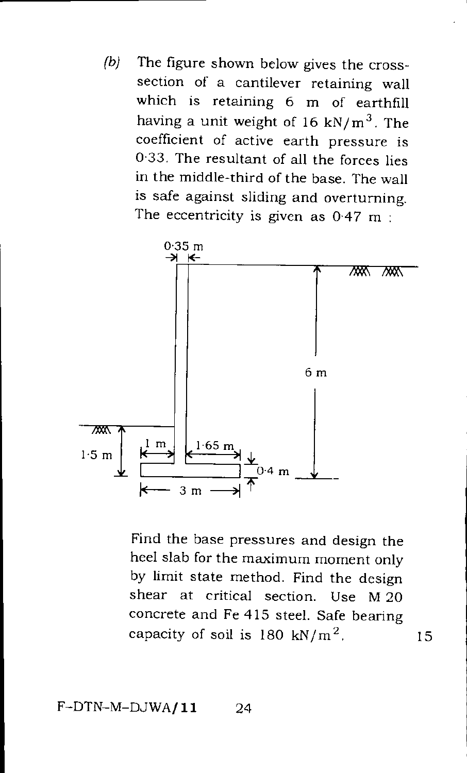*(b)* The figure shown below gives the crosssection of a cantilever retaining wall which is retaining 6 m of earthfill having a unit weight of 16 kN/ $m<sup>3</sup>$ . The coefficient of active earth pressure is 0.33. The resultant of all the forces lies in the middle-third of the base. The wall is safe against sliding and overturning. The eccentricity is given as  $0.47 \text{ m}$ :



Find the base pressures and design the heel slab for the maximum moment only by limit state method. Find the design shear at critical section. Use M 20 concrete and Fe 415 steel. Safe bearing capacity of soil is  $180 \text{ kN/m}^2$ . 15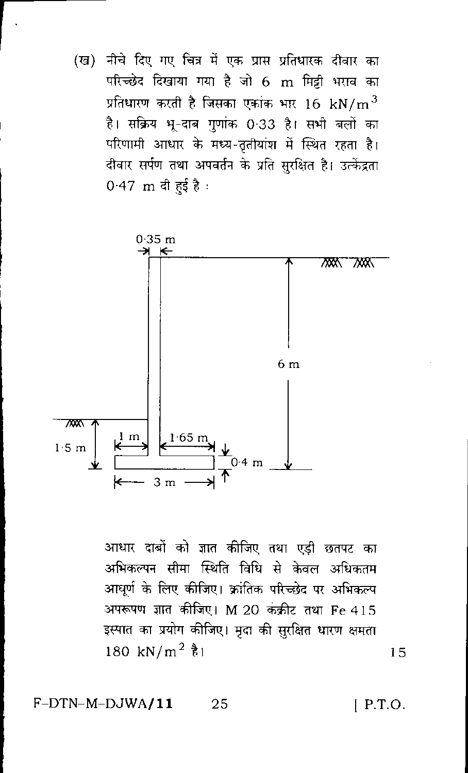(ख) नीचे दिए गए चित्र में एक प्रास प्रतिधारक दीवार का परिच्छेद दिखाया गया है जो 6 m मिट्टी भराव का प्रतिधारण करती है जिसका एकांक भार  $16\,$  kN/m  $^3$ है। सक्रिय भू-दाब गुणांक 0·33 है। सभी बलों का परिणामी आधार के मध्य-तृतीयांश में स्थित रहता है। दीवार सर्पण तथा अपवर्तन के प्रति सुरक्षित है। उत्केंद्रता 0.47 m दी हई है:



आधार दाबों को ज्ञात कीजिए तथा एडी छतपट का अभिकल्पन सीमा स्थिति विधि से केवल अधिकतम आधर्ण के लिए कीजिए। क्रांतिक परिच्छेद पर अभिकल्प अपरूपण ज्ञात कीजिए। M 20 कंक्रीट तथा Fe 415 इस्पात का प्रयोग कीजिए। मृदा की सुरक्षित धारण क्षमता 180 kN/m<sup>2</sup>  $\frac{3}{6}$ 1

F-DTN-M-DJWA/11 25  $[$  P.T.O.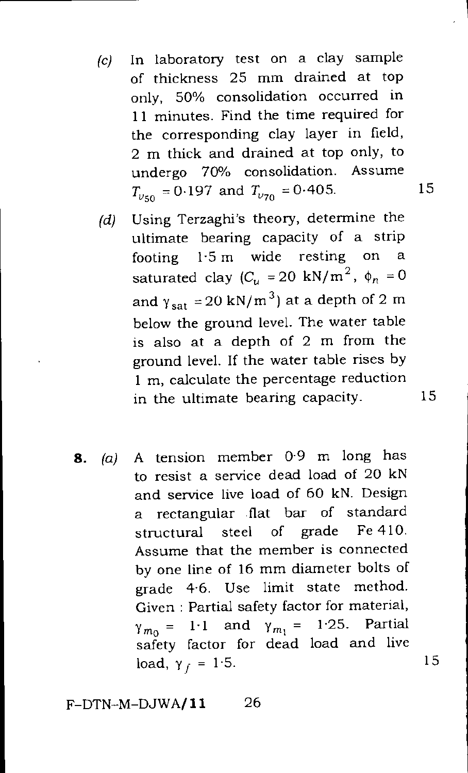- (c) In laboratory test on a clay sample of thickness 25 mm drained at top only, 50% consolidation occurred in 11 minutes. Find the time required for the corresponding clay layer in field, 2 m thick and drained at top only, to undergo 70% consolidation. Assume  $T_{\nu\tau_0}$  = 0.197 and  $T_{\nu\tau_0}$  = 0.405. 15
- (d) Using Terzaghi's theory, determine the ultimate bearing capacity of a strip footing 1.5 m wide resting on a saturated clay  $(C_u = 20 \text{ kN/m}^2, \phi_n = 0$ and  $\gamma_{sat}=20 \text{ kN/m}^3$ ) at a depth of 2 m below the ground level. The water table is also at a depth of 2 m from the ground level. If the water table rises by 1 m, calculate the percentage reduction in the ultimate bearing capacity. 15
- **8.** (a) A tension member 0.9 m long has to resist a service dead load of 20 kN and service live load of 60 kN. Design a rectangular flat bar of standard structural steel of grade Fe 410. Assume that the member is connected by one line of 16 mm diameter bolts of grade 4.6. Use limit state method. Given : Partial safety factor for material,  $\gamma_{m_0} = 1.1$  and  $\gamma_{m_1} = 1.25$ . Partial safety factor for dead load and live load,  $\gamma_f = 1.5$ .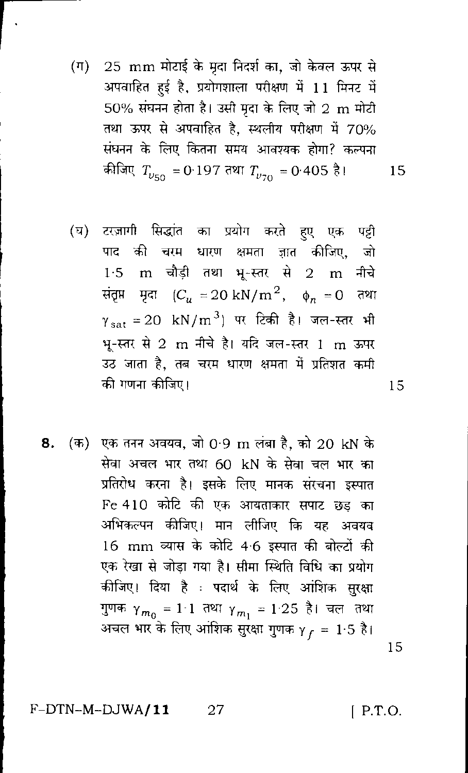- (ग) 25 mm मोटाई के मृदा निदर्श का, जो केवल ऊपर से अपवाहित हई है, प्रयोगशाला परीक्षण में 11 मिनट में  $50\%$  संघनन होता है। उसी मृदा के लिए जो  $2\,$  m मोटी तथा ऊपर से अपवाहित है, स्थलीय परीक्षण में 70% संघनन के लिए कितना समय आवश्यक होगा? कल्पना कीजिए  $T_{\nu\tau\alpha}$  = 0·197 तथा  $T_{\nu\tau\alpha}$  = 0·405 है। 15
- टरज़ागी सिद्धांत का प्रयोग करते हुए एक पट्टी  $(\overline{u})$ की चरम धारण क्षमता जात कीजिए, जो पाट 1.5 m चौड़ी तथा भू-स्तर से 2 m नीचे संतृप्त मृदा ( $C_u = 20 \text{ kN/m}^2$ ,  $\phi_n = 0$ तथा  $\gamma_{\text{sat}} = 20 \text{ kN/m}^3$ ) पर टिकी है। जल-स्तर भी भ-स्तर से 2 m नीचे है। यदि जल-स्तर 1 m ऊपर उठ जाता है, तब चरम धारण क्षमता में प्रतिशत कमी की गणना कीजिए।
- 8. (क) एक तनन अवयव, जो 0.9 m लंबा है, को 20 kN के सेवा अचल भार तथा 60 kN के सेवा चल भार का प्रतिरोध करना है। इसके लिए मानक संरचना इस्पात Fe 410 कोटि की एक आयताकार सपाट छड़ का अभिकल्पन कीजिए। मान लीजिए कि यह अवयव 16 mm व्यास के कोटि 4.6 इस्पात की बोल्टों की एक रेखा से जोड़ा गया है। सीमा स्थिति विधि का प्रयोग कीजिए। दिया है : पदार्थ के लिए आंशिक सुरक्षा गुणक  $\gamma_{m_0} = 1 \ 1 \ \text{au} \ \gamma_{m_1} = 1 \ 25 \ \text{R}$ । चल तथा -<br>अचल भार के लिए आंशिक सुरक्षा गुणक  $\gamma_{\bar{f}} = 1.5$  है।

F-DTN-M-DJWA/11 27  $[$  P.T.O.

15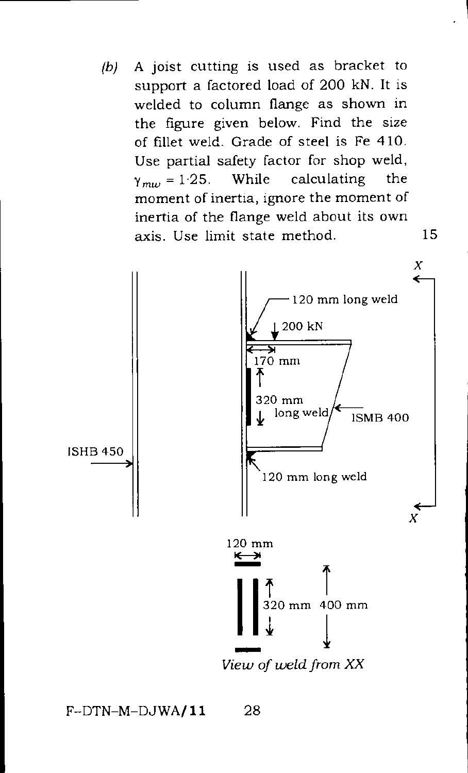*(b)* A joist cutting is used as bracket to support a factored load of 200 kN. It is welded to column flange as shown in the figure given below. Find the size of fillet weld. Grade of steel is Fe 410. Use partial safety factor for shop weld,  $\gamma_{mu} = 1.25$ . While calculating the moment of inertia, ignore the moment of inertia of the flange weld about its own axis. Use limit state method. 15



 $F-DTN-M-DJWA/11$  28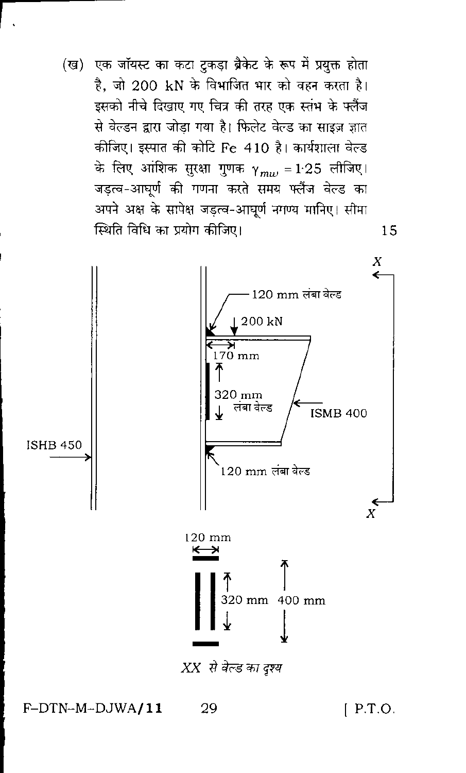(ख) एक जॉयस्ट का कटा टुकड़ा ब्रैकेट के रूप में प्रयुक्त होता है, जो 200 kN के विभाजित भार को वहन करता है। इसको नीचे दिखाए गए चित्र की तरह एक स्तंभ के फ्लैंज से वेल्डन द्वारा जोडा गया है। फिलेट वेल्ड का साइज़ ज्ञात कीजिए। इस्पात की कोटि Fe 410 है। कार्यशाला वेल्ड के लिए आंशिक सुरक्षा गुणक  $\gamma_{mw} = 1.25$  लीजिए। जड़त्व-आघूर्ण की गणना करते समय फ्लैंज वेल्ड का अपने अक्ष के सापेक्ष जड़त्व-आघूर्ण नगण्य मानिए। सीमा स्थिति विधि का प्रयोग कीजिए।



F-DTN-M-DJWA/11

 $[$  P.T.O.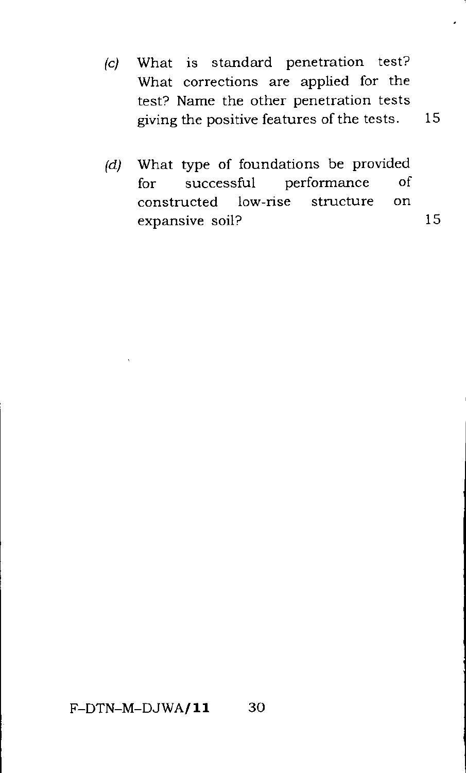- (c) What is standard penetration test? What corrections are applied for the test? Name the other penetration tests giving the positive features of the tests. 15
- (d) What type of foundations be provided for successful performance of constructed low-rise structure on expansive soil? 15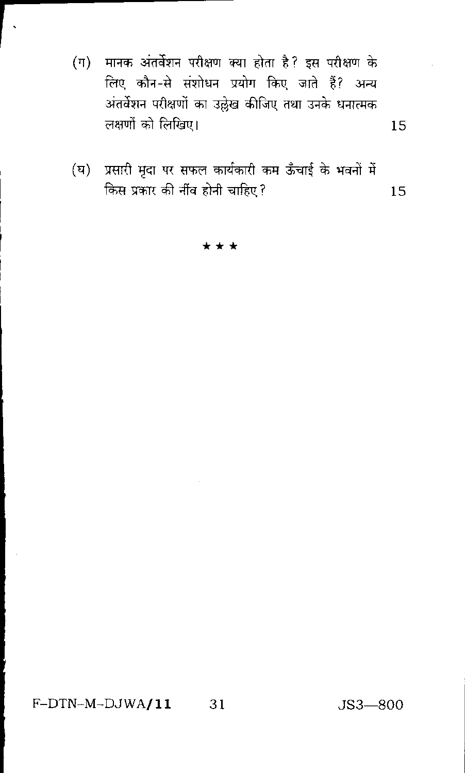- (ग) मानक अंतर्वेशन परीक्षण क्या होता है? इस परीक्षण के लिए कौन-से संशोधन प्रयोग किए जाते हैं? अन्य अंतर्वेशन परीक्षणों का उल्लेख कीजिए तथा उनके धनात्मक लक्षणों को लिखिए।
- (घ) प्रसारी मृदा पर सफल कार्यकारी कम ऊँचाई के भवनों में किस प्रकार की नींव होनी चाहिए ? 15

\*\*\*

F-DTN-M-DJWA/11 31

 $JS3 - 800$